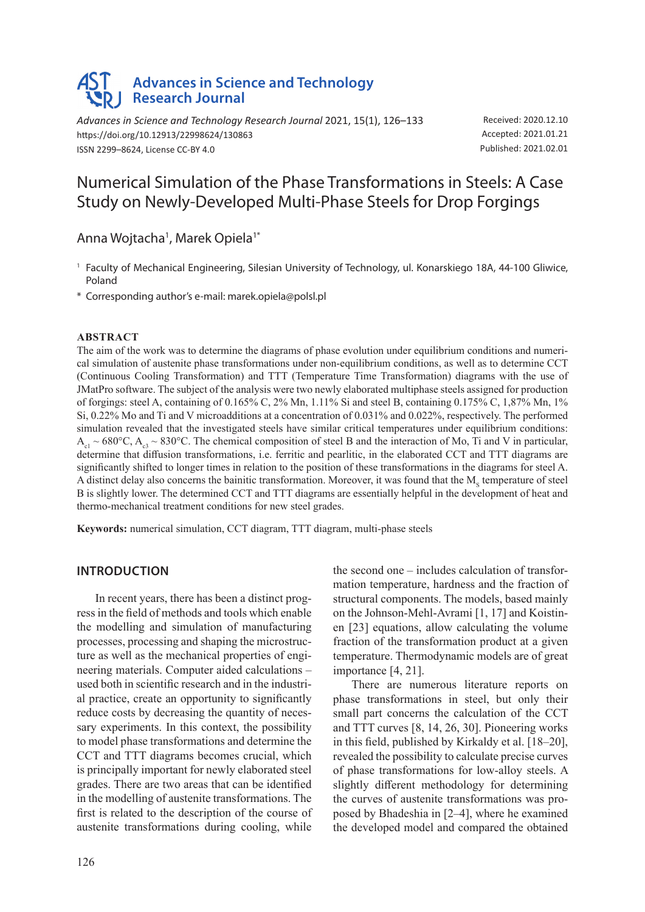# **Advances in Science and Technology Research Journal**

*Advances in Science and Technology Research Journal* 2021, 15(1), 126–133 https://doi.org/10.12913/22998624/130863 ISSN 2299–8624, License CC-BY 4.0

Received: 2020.12.10 Accepted: 2021.01.21 Published: 2021.02.01

## Numerical Simulation of the Phase Transformations in Steels: A Case Study on Newly-Developed Multi-Phase Steels for Drop Forgings

Anna Wojtacha<sup>1</sup>, Marek Opiela<sup>1\*</sup>

<sup>1</sup> Faculty of Mechanical Engineering, Silesian University of Technology, ul. Konarskiego 18A, 44-100 Gliwice, Poland

\* Corresponding author's e-mail: marek.opiela@polsl.pl

#### **Abstract**

The aim of the work was to determine the diagrams of phase evolution under equilibrium conditions and numerical simulation of austenite phase transformations under non-equilibrium conditions, as well as to determine CCT (Continuous Cooling Transformation) and TTT (Temperature Time Transformation) diagrams with the use of JMatPro software. The subject of the analysis were two newly elaborated multiphase steels assigned for production of forgings: steel A, containing of 0.165% C, 2% Mn, 1.11% Si and steel B, containing 0.175% C, 1,87% Mn, 1% Si, 0.22% Mo and Ti and V microadditions at a concentration of 0.031% and 0.022%, respectively. The performed simulation revealed that the investigated steels have similar critical temperatures under equilibrium conditions:  $A_{c1} \sim 680^{\circ}$ C,  $A_{c3} \sim 830^{\circ}$ C. The chemical composition of steel B and the interaction of Mo, Ti and V in particular, determine that diffusion transformations, i.e. ferritic and pearlitic, in the elaborated CCT and TTT diagrams are significantly shifted to longer times in relation to the position of these transformations in the diagrams for steel A. A distinct delay also concerns the bainitic transformation. Moreover, it was found that the  $M_s$  temperature of steel B is slightly lower. The determined CCT and TTT diagrams are essentially helpful in the development of heat and thermo-mechanical treatment conditions for new steel grades.

**Keywords:** numerical simulation, CCT diagram, TTT diagram, multi-phase steels

## **Introduction**

In recent years, there has been a distinct progress in the field of methods and tools which enable the modelling and simulation of manufacturing processes, processing and shaping the microstructure as well as the mechanical properties of engineering materials. Computer aided calculations – used both in scientific research and in the industrial practice, create an opportunity to significantly reduce costs by decreasing the quantity of necessary experiments. In this context, the possibility to model phase transformations and determine the CCT and TTT diagrams becomes crucial, which is principally important for newly elaborated steel grades. There are two areas that can be identified in the modelling of austenite transformations. The first is related to the description of the course of austenite transformations during cooling, while the second one – includes calculation of transformation temperature, hardness and the fraction of structural components. The models, based mainly on the Johnson-Mehl-Avrami [1, 17] and Koistinen [23] equations, allow calculating the volume fraction of the transformation product at a given temperature. Thermodynamic models are of great importance [4, 21].

There are numerous literature reports on phase transformations in steel, but only their small part concerns the calculation of the CCT and TTT curves [8, 14, 26, 30]. Pioneering works in this field, published by Kirkaldy et al. [18–20], revealed the possibility to calculate precise curves of phase transformations for low-alloy steels. A slightly different methodology for determining the curves of austenite transformations was proposed by Bhadeshia in [2–4], where he examined the developed model and compared the obtained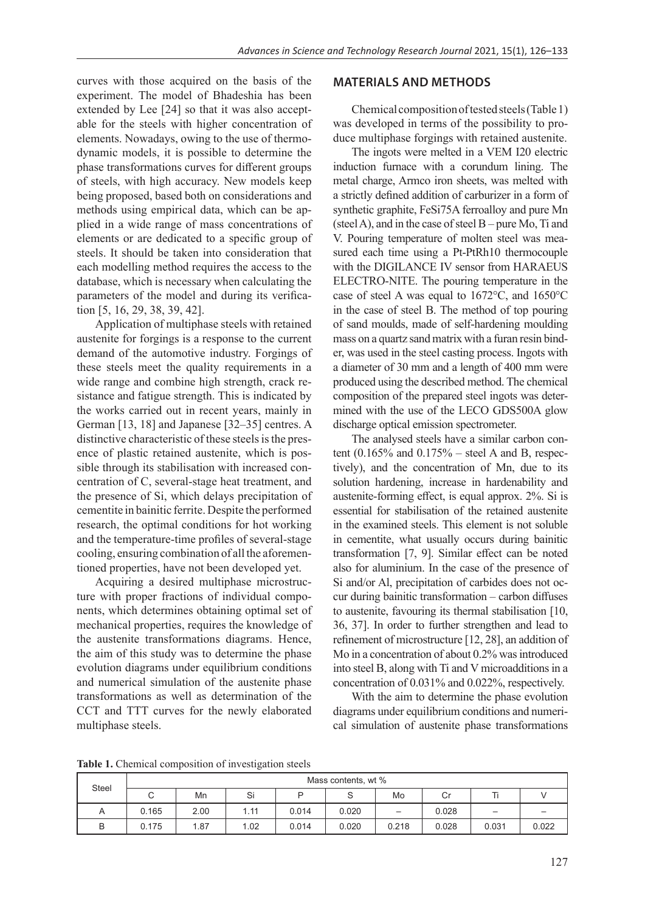curves with those acquired on the basis of the experiment. The model of Bhadeshia has been extended by Lee [24] so that it was also acceptable for the steels with higher concentration of elements. Nowadays, owing to the use of thermodynamic models, it is possible to determine the phase transformations curves for different groups of steels, with high accuracy. New models keep being proposed, based both on considerations and methods using empirical data, which can be applied in a wide range of mass concentrations of elements or are dedicated to a specific group of steels. It should be taken into consideration that each modelling method requires the access to the database, which is necessary when calculating the parameters of the model and during its verification [5, 16, 29, 38, 39, 42].

Application of multiphase steels with retained austenite for forgings is a response to the current demand of the automotive industry. Forgings of these steels meet the quality requirements in a wide range and combine high strength, crack resistance and fatigue strength. This is indicated by the works carried out in recent years, mainly in German [13, 18] and Japanese [32–35] centres. A distinctive characteristic of these steels is the presence of plastic retained austenite, which is possible through its stabilisation with increased concentration of C, several-stage heat treatment, and the presence of Si, which delays precipitation of cementite in bainitic ferrite. Despite the performed research, the optimal conditions for hot working and the temperature-time profiles of several-stage cooling, ensuring combination of all the aforementioned properties, have not been developed yet.

Acquiring a desired multiphase microstructure with proper fractions of individual components, which determines obtaining optimal set of mechanical properties, requires the knowledge of the austenite transformations diagrams. Hence, the aim of this study was to determine the phase evolution diagrams under equilibrium conditions and numerical simulation of the austenite phase transformations as well as determination of the CCT and TTT curves for the newly elaborated multiphase steels.

#### **Materials and Methods**

Chemical composition of tested steels (Table 1) was developed in terms of the possibility to produce multiphase forgings with retained austenite.

The ingots were melted in a VEM I20 electric induction furnace with a corundum lining. The metal charge, Armco iron sheets, was melted with a strictly defined addition of carburizer in a form of synthetic graphite, FeSi75A ferroalloy and pure Mn (steel A), and in the case of steel  $B$  – pure Mo, Ti and V. Pouring temperature of molten steel was measured each time using a Pt-PtRh10 thermocouple with the DIGILANCE IV sensor from HARAEUS ELECTRO-NITE. The pouring temperature in the case of steel A was equal to 1672°C, and 1650°C in the case of steel B. The method of top pouring of sand moulds, made of self-hardening moulding mass on a quartz sand matrix with a furan resin binder, was used in the steel casting process. Ingots with a diameter of 30 mm and a length of 400 mm were produced using the described method. The chemical composition of the prepared steel ingots was determined with the use of the LECO GDS500A glow discharge optical emission spectrometer.

The analysed steels have a similar carbon content  $(0.165\%$  and  $0.175\%$  – steel A and B, respectively), and the concentration of Mn, due to its solution hardening, increase in hardenability and austenite-forming effect, is equal approx. 2%. Si is essential for stabilisation of the retained austenite in the examined steels. This element is not soluble in cementite, what usually occurs during bainitic transformation [7, 9]. Similar effect can be noted also for aluminium. In the case of the presence of Si and/or Al, precipitation of carbides does not occur during bainitic transformation – carbon diffuses to austenite, favouring its thermal stabilisation [10, 36, 37]. In order to further strengthen and lead to refinement of microstructure [12, 28], an addition of Mo in a concentration of about 0.2% was introduced into steel B, along with Ti and V microadditions in a concentration of 0.031% and 0.022%, respectively.

With the aim to determine the phase evolution diagrams under equilibrium conditions and numerical simulation of austenite phase transformations

**Table 1.** Chemical composition of investigation steels

| <b>Steel</b> | Mass contents, wt % |      |      |       |       |       |       |                          |       |
|--------------|---------------------|------|------|-------|-------|-------|-------|--------------------------|-------|
|              | ◡                   | Mn   | Si   |       |       | Mo    | U     |                          |       |
| A            | 0.165               | 2.00 | 1.11 | 0.014 | 0.020 | —     | 0.028 | $\overline{\phantom{m}}$ |       |
| B            | 0.175               | 1.87 | 1.02 | 0.014 | 0.020 | 0.218 | 0.028 | 0.031                    | 0.022 |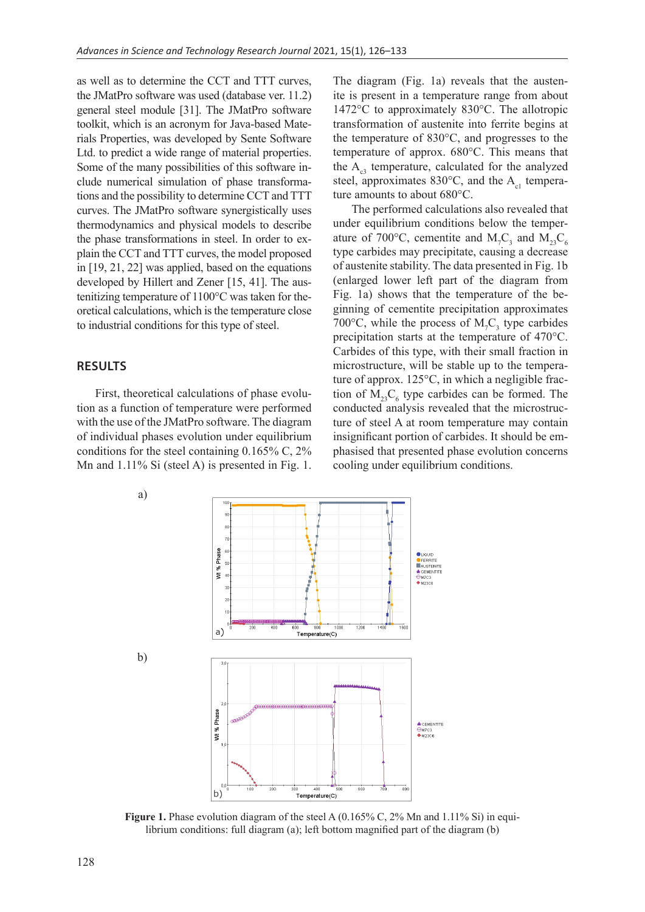as well as to determine the CCT and TTT curves, the JMatPro software was used (database ver. 11.2) general steel module [31]. The JMatPro software toolkit, which is an acronym for Java-based Materials Properties, was developed by Sente Software Ltd. to predict a wide range of material properties. Some of the many possibilities of this software include numerical simulation of phase transformations and the possibility to determine CCT and TTT curves. The JMatPro software synergistically uses thermodynamics and physical models to describe the phase transformations in steel. In order to explain the CCT and TTT curves, the model proposed in [19, 21, 22] was applied, based on the equations developed by Hillert and Zener [15, 41]. The austenitizing temperature of 1100°C was taken for theoretical calculations, which is the temperature close to industrial conditions for this type of steel.

#### **Results**

First, theoretical calculations of phase evolution as a function of temperature were performed with the use of the JMatPro software. The diagram of individual phases evolution under equilibrium conditions for the steel containing 0.165% C, 2% Mn and 1.11% Si (steel A) is presented in Fig. 1. The diagram (Fig. 1a) reveals that the austenite is present in a temperature range from about 1472°C to approximately 830°C. The allotropic transformation of austenite into ferrite begins at the temperature of 830°C, and progresses to the temperature of approx. 680°C. This means that the  $A_{c3}$  temperature, calculated for the analyzed steel, approximates  $830^{\circ}$ C, and the A<sub>c1</sub> temperature amounts to about 680°C.

The performed calculations also revealed that under equilibrium conditions below the temperature of 700°C, cementite and  $M_7C_3$  and  $M_{23}C_6$ type carbides may precipitate, causing a decrease of austenite stability. The data presented in Fig. 1b (enlarged lower left part of the diagram from Fig. 1a) shows that the temperature of the beginning of cementite precipitation approximates 700 $\degree$ C, while the process of M<sub>7</sub>C<sub>3</sub> type carbides precipitation starts at the temperature of 470°C. Carbides of this type, with their small fraction in microstructure, will be stable up to the temperature of approx. 125°C, in which a negligible fraction of  $M_{23}C_6$  type carbides can be formed. The conducted analysis revealed that the microstructure of steel A at room temperature may contain insignificant portion of carbides. It should be emphasised that presented phase evolution concerns cooling under equilibrium conditions.



**Figure 1.** Phase evolution diagram of the steel A (0.165% C, 2% Mn and 1.11% Si) in equilibrium conditions: full diagram (a); left bottom magnified part of the diagram (b)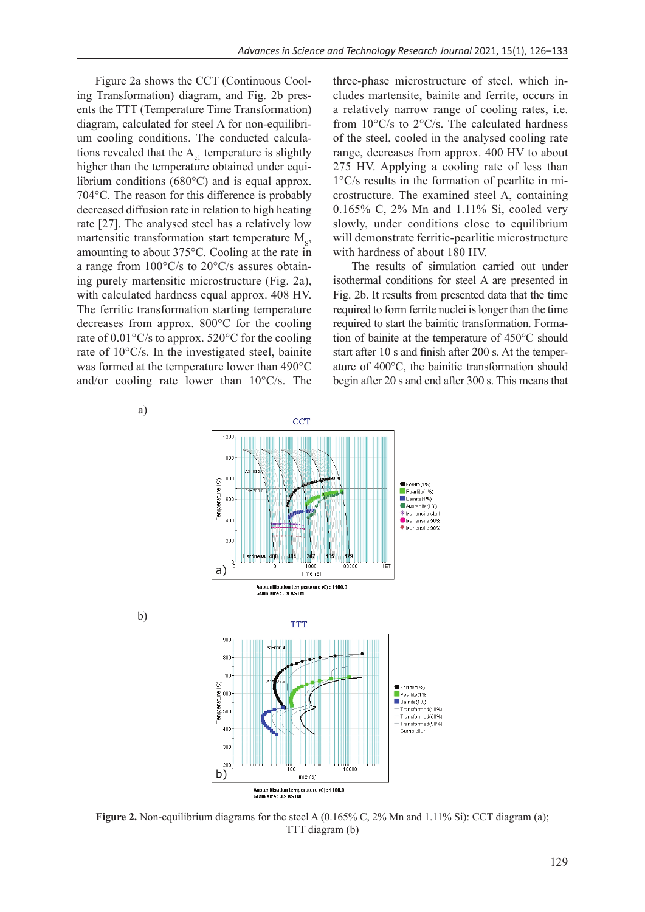Figure 2a shows the CCT (Continuous Cooling Transformation) diagram, and Fig. 2b presents the TTT (Temperature Time Transformation) diagram, calculated for steel A for non-equilibrium cooling conditions. The conducted calculations revealed that the  $A<sub>cl</sub>$  temperature is slightly higher than the temperature obtained under equilibrium conditions (680°C) and is equal approx. 704°C. The reason for this difference is probably decreased diffusion rate in relation to high heating rate [27]. The analysed steel has a relatively low martensitic transformation start temperature  $M_{s}$ , amounting to about 375°C. Cooling at the rate in a range from 100°C/s to 20°C/s assures obtaining purely martensitic microstructure (Fig. 2a), with calculated hardness equal approx. 408 HV. The ferritic transformation starting temperature decreases from approx. 800°C for the cooling rate of 0.01°C/s to approx. 520°C for the cooling rate of 10°C/s. In the investigated steel, bainite was formed at the temperature lower than 490°C and/or cooling rate lower than 10°C/s. The

three-phase microstructure of steel, which includes martensite, bainite and ferrite, occurs in a relatively narrow range of cooling rates, i.e. from 10°C/s to 2°C/s. The calculated hardness of the steel, cooled in the analysed cooling rate range, decreases from approx. 400 HV to about 275 HV. Applying a cooling rate of less than 1°C/s results in the formation of pearlite in microstructure. The examined steel A, containing 0.165% C, 2% Mn and 1.11% Si, cooled very slowly, under conditions close to equilibrium will demonstrate ferritic-pearlitic microstructure with hardness of about 180 HV.

The results of simulation carried out under isothermal conditions for steel A are presented in Fig. 2b. It results from presented data that the time required to form ferrite nuclei is longer than the time required to start the bainitic transformation. Formation of bainite at the temperature of 450°C should start after 10 s and finish after 200 s. At the temperature of 400°C, the bainitic transformation should begin after 20 s and end after 300 s. This means that



**Figure 2.** Non-equilibrium diagrams for the steel A (0.165% C, 2% Mn and 1.11% Si): CCT diagram (a); TTT diagram (b)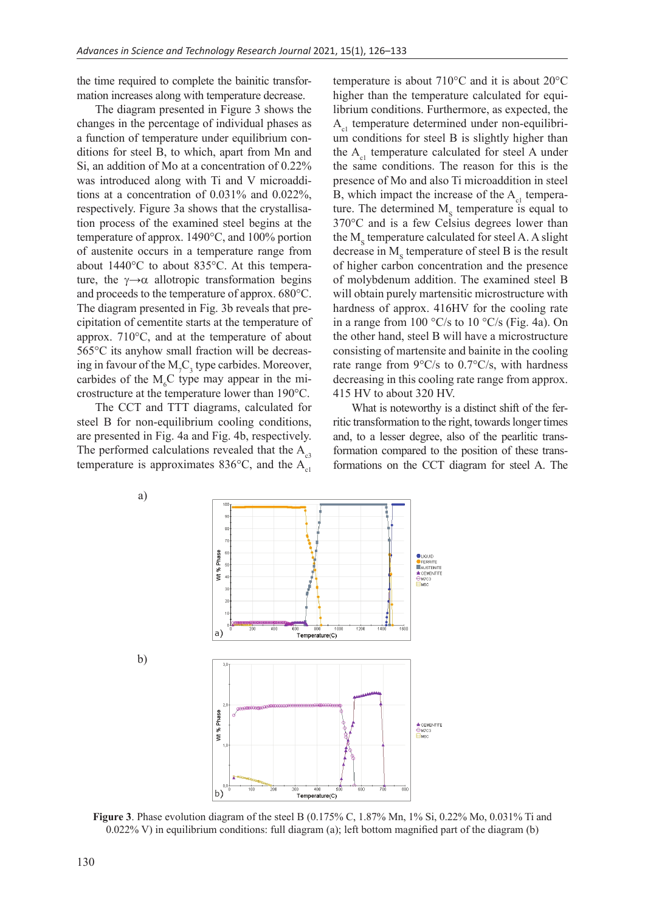the time required to complete the bainitic transformation increases along with temperature decrease.

The diagram presented in Figure 3 shows the changes in the percentage of individual phases as a function of temperature under equilibrium conditions for steel B, to which, apart from Mn and Si, an addition of Mo at a concentration of 0.22% was introduced along with Ti and V microadditions at a concentration of 0.031% and 0.022%, respectively. Figure 3a shows that the crystallisation process of the examined steel begins at the temperature of approx. 1490°C, and 100% portion of austenite occurs in a temperature range from about 1440°C to about 835°C. At this temperature, the  $\gamma \rightarrow \alpha$  allotropic transformation begins and proceeds to the temperature of approx. 680°C. The diagram presented in Fig. 3b reveals that precipitation of cementite starts at the temperature of approx. 710°C, and at the temperature of about 565°C its anyhow small fraction will be decreasing in favour of the  $M<sub>7</sub>C<sub>3</sub>$  type carbides. Moreover, carbides of the  $M<sub>6</sub>C$  type may appear in the microstructure at the temperature lower than 190°C.

The CCT and TTT diagrams, calculated for steel B for non-equilibrium cooling conditions, are presented in Fig. 4a and Fig. 4b, respectively. The performed calculations revealed that the  $A_{a3}$ temperature is approximates 836 $^{\circ}$ C, and the A<sub>c1</sub> temperature is about 710°C and it is about 20°C higher than the temperature calculated for equilibrium conditions. Furthermore, as expected, the  $A<sub>ol</sub>$  temperature determined under non-equilibrium conditions for steel B is slightly higher than the  $A_{c1}$  temperature calculated for steel A under the same conditions. The reason for this is the presence of Mo and also Ti microaddition in steel B, which impact the increase of the  $A<sub>cl</sub>$  temperature. The determined  $M_s$  temperature is equal to 370°C and is a few Celsius degrees lower than the  $M_s$  temperature calculated for steel A. A slight decrease in  $M_s$  temperature of steel B is the result of higher carbon concentration and the presence of molybdenum addition. The examined steel B will obtain purely martensitic microstructure with hardness of approx. 416HV for the cooling rate in a range from 100 °C/s to 10 °C/s (Fig. 4a). On the other hand, steel B will have a microstructure consisting of martensite and bainite in the cooling rate range from 9°C/s to 0.7°C/s, with hardness decreasing in this cooling rate range from approx. 415 HV to about 320 HV.

What is noteworthy is a distinct shift of the ferritic transformation to the right, towards longer times and, to a lesser degree, also of the pearlitic transformation compared to the position of these transformations on the CCT diagram for steel A. The



**Figure 3**. Phase evolution diagram of the steel B (0.175% C, 1.87% Mn, 1% Si, 0.22% Mo, 0.031% Ti and  $0.022\%$  V) in equilibrium conditions: full diagram (a); left bottom magnified part of the diagram (b)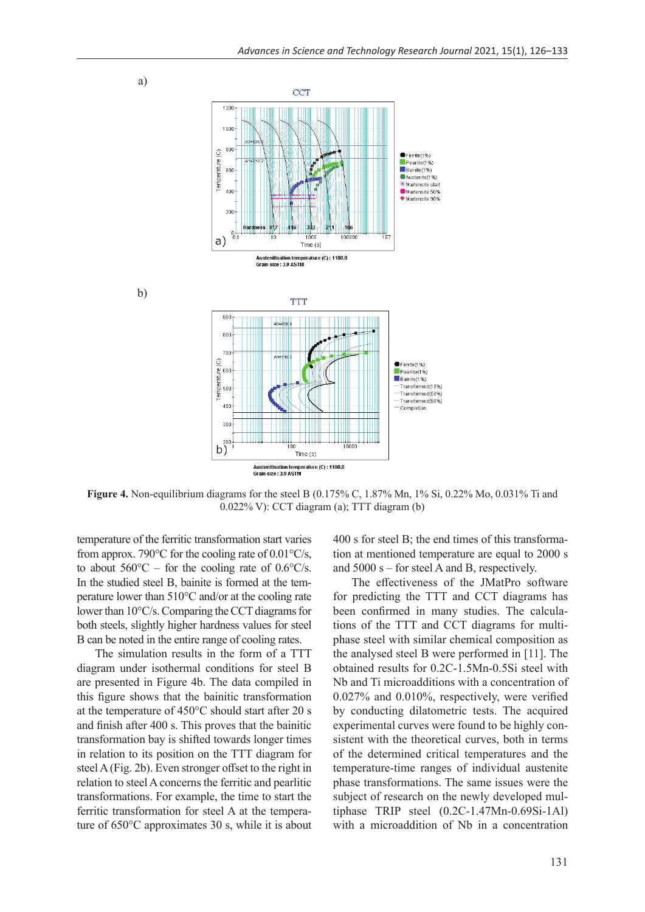

**Figure 4.** Non-equilibrium diagrams for the steel B (0.175% C, 1.87% Mn, 1% Si, 0.22% Mo, 0.031% Ti and 0.022% V): CCT diagram (a); TTT diagram (b)

temperature of the ferritic transformation start varies from approx. 790 $\degree$ C for the cooling rate of 0.01 $\degree$ C/s, to about  $560^{\circ}\text{C}$  – for the cooling rate of 0.6°C/s. In the studied steel B, bainite is formed at the temperature lower than 510°C and/or at the cooling rate lower than 10°C/s. Comparing the CCT diagrams for both steels, slightly higher hardness values for steel B can be noted in the entire range of cooling rates.

The simulation results in the form of a TTT diagram under isothermal conditions for steel B are presented in Figure 4b. The data compiled in this figure shows that the bainitic transformation at the temperature of 450°C should start after 20 s and finish after 400 s. This proves that the bainitic transformation bay is shifted towards longer times in relation to its position on the TTT diagram for steel A (Fig. 2b). Even stronger offset to the right in relation to steel A concerns the ferritic and pearlitic transformations. For example, the time to start the ferritic transformation for steel A at the temperature of 650°C approximates 30 s, while it is about 400 s for steel B; the end times of this transformation at mentioned temperature are equal to 2000 s and 5000 s – for steel A and B, respectively.

The effectiveness of the JMatPro software for predicting the TTT and CCT diagrams has been confirmed in many studies. The calculations of the TTT and CCT diagrams for multiphase steel with similar chemical composition as the analysed steel B were performed in [11]. The obtained results for 0.2C-1.5Mn-0.5Si steel with Nb and Ti microadditions with a concentration of 0.027% and 0.010%, respectively, were verified by conducting dilatometric tests. The acquired experimental curves were found to be highly consistent with the theoretical curves, both in terms of the determined critical temperatures and the temperature-time ranges of individual austenite phase transformations. The same issues were the subject of research on the newly developed multiphase TRIP steel (0.2C-1.47Mn-0.69Si-1Al) with a microaddition of Nb in a concentration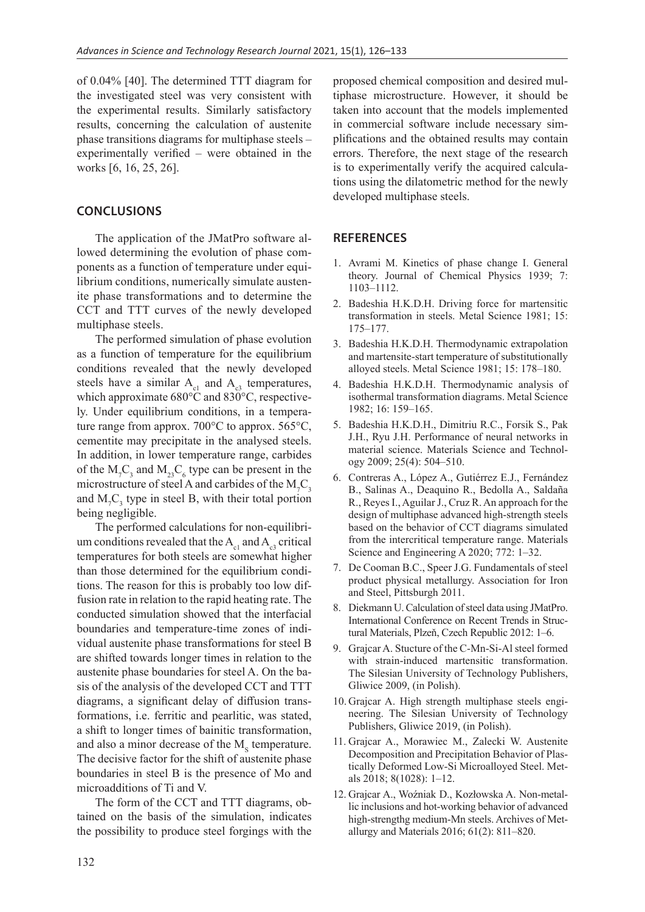of 0.04% [40]. The determined TTT diagram for the investigated steel was very consistent with the experimental results. Similarly satisfactory results, concerning the calculation of austenite phase transitions diagrams for multiphase steels – experimentally verified – were obtained in the works [6, 16, 25, 26].

## **Conclusions**

The application of the JMatPro software allowed determining the evolution of phase components as a function of temperature under equilibrium conditions, numerically simulate austenite phase transformations and to determine the CCT and TTT curves of the newly developed multiphase steels.

The performed simulation of phase evolution as a function of temperature for the equilibrium conditions revealed that the newly developed steels have a similar  $A_{c1}$  and  $A_{c3}$  temperatures, which approximate 680°C and 830°C, respectively. Under equilibrium conditions, in a temperature range from approx. 700°C to approx. 565°C, cementite may precipitate in the analysed steels. In addition, in lower temperature range, carbides of the  $M_7C_3$  and  $M_{23}C_6$  type can be present in the microstructure of steel A and carbides of the  $M_{7}C_{3}$ and  $M_{7}C_{3}$  type in steel B, with their total portion being negligible.

The performed calculations for non-equilibrium conditions revealed that the  $A_{c1}$  and  $A_{c2}$  critical temperatures for both steels are somewhat higher than those determined for the equilibrium conditions. The reason for this is probably too low diffusion rate in relation to the rapid heating rate. The conducted simulation showed that the interfacial boundaries and temperature-time zones of individual austenite phase transformations for steel B are shifted towards longer times in relation to the austenite phase boundaries for steel A. On the basis of the analysis of the developed CCT and TTT diagrams, a significant delay of diffusion transformations, i.e. ferritic and pearlitic, was stated, a shift to longer times of bainitic transformation, and also a minor decrease of the  $M_s$  temperature. The decisive factor for the shift of austenite phase boundaries in steel B is the presence of Mo and microadditions of Ti and V.

The form of the CCT and TTT diagrams, obtained on the basis of the simulation, indicates the possibility to produce steel forgings with the

proposed chemical composition and desired multiphase microstructure. However, it should be taken into account that the models implemented in commercial software include necessary simplifications and the obtained results may contain errors. Therefore, the next stage of the research is to experimentally verify the acquired calculations using the dilatometric method for the newly developed multiphase steels.

## **References**

- 1. Avrami M. Kinetics of phase change I. General theory. Journal of Chemical Physics 1939; 7: 1103–1112.
- 2. Badeshia H.K.D.H. Driving force for martensitic transformation in steels. Metal Science 1981; 15: 175–177.
- 3. Badeshia H.K.D.H. Thermodynamic extrapolation and martensite-start temperature of substitutionally alloyed steels. Metal Science 1981; 15: 178–180.
- 4. Badeshia H.K.D.H. Thermodynamic analysis of isothermal transformation diagrams. Metal Science 1982; 16: 159–165.
- 5. Badeshia H.K.D.H., Dimitriu R.C., Forsik S., Pak J.H., Ryu J.H. Performance of neural networks in material science. Materials Science and Technology 2009; 25(4): 504–510.
- 6. Contreras A., López A., Gutiérrez E.J., Fernández B., Salinas A., Deaquino R., Bedolla A., Saldaña R., Reyes I., Aguilar J., Cruz R. An approach for the design of multiphase advanced high-strength steels based on the behavior of CCT diagrams simulated from the intercritical temperature range. Materials Science and Engineering A 2020; 772: 1–32.
- 7. De Cooman B.C., Speer J.G. Fundamentals of steel product physical metallurgy. Association for Iron and Steel, Pittsburgh 2011.
- 8. Diekmann U. Calculation of steel data using JMatPro. International Conference on Recent Trends in Structural Materials, Plzeň, Czech Republic 2012: 1–6.
- 9. Grajcar A. Stucture of the C-Mn-Si-Al steel formed with strain-induced martensitic transformation. The Silesian University of Technology Publishers, Gliwice 2009, (in Polish).
- 10. Grajcar A. High strength multiphase steels engineering. The Silesian University of Technology Publishers, Gliwice 2019, (in Polish).
- 11. Grajcar A., Morawiec M., Zalecki W. Austenite Decomposition and Precipitation Behavior of Plastically Deformed Low-Si Microalloyed Steel. Metals 2018; 8(1028): 1–12.
- 12. Grajcar A., Woźniak D., Kozłowska A. Non-metallic inclusions and hot-working behavior of advanced high-strengthg medium-Mn steels. Archives of Metallurgy and Materials 2016; 61(2): 811–820.